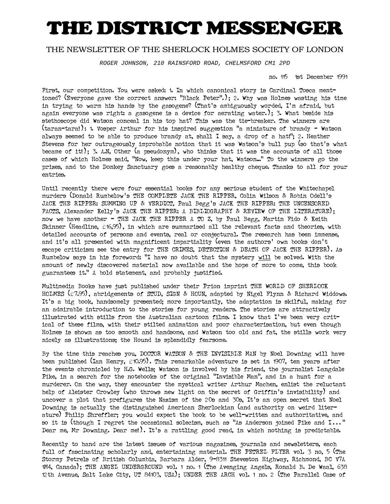## THE DISTRICT MESSENGER

## THE NEWSLETTER OF THE SHERLOCK HOLMES SOCIETY OF LONDON

ROGER JOHNSON, 210 RAINSFORD ROAD, CHELMSFORD CM1 2PD

no. 115 1st December 1991

First, our competition. You were asked: 1. In which canonical story is Cardinal Tosca mentioned? (Everyone gave the correct answer: "Black Peter".); 2. Why was Holmes wasting his time in trying to warm his hands by the gasogene? (That's ambiguously worded, I'm afraid, but again everyone was right: a gasogene is a device for aerating water.);  $\beta$ . What beside his stethoscope did Watson conceal in his top hat? This was the tie-breaker. The winners are (taran-tara!): 1. Vosper Arthur for his inspired suggestion "a miniature of brandy - Watson always seemed to be able to produce brandy at, shall I say, a drop of a hat!"; 2. Heather Stevens for her outrageously improbable notion that it was Watson's bull pup (so that's what became of it!); 3. A.N, Other (a pseudonym), who thinks that it was the accounts of all those cases of which Holmes said, "Now, keep this under your hat, Watson..." To the winners go the prizes, and to the Donkey Sanctuary goes a reasonably healthy cheque. Thanks to all for your entries.

Until recently there were four essential books for any serious student of the Whitechapel murders (Donald Rumbelow's THE COMPLETE JACK THE RIPPER, Colin Wilson & Robin Odell's JACK THE RIPPER: SUMMING UP & VERDICT, Paul Begg's JACK THE RIPPER: THE UNCENSORED FACTS, Alexander Kelly's JACK THE RIPPER: A BIBLIOGRAPHY & REVIEW OF THE LITERATURE) ; now we have another - THE JACK THE RIPPER A TO Z, by Paul Begg, Martin Fido & Keith Skinner (Headline,  $£16,95$ ), in which are summarised all the relevant facts and theories, with detailed accounts of persons and events, real or conjectural. The research has been immense, and it's all presented with magnificent impartiality (even the authors' own books don't escape criticism: see the entry for THE CRIMES, DETECTION & DEATH OF JACK THE RIPPER) . As Rumbelow says in his foreword: "I have no doubt that the mystery will be solved. With the amount of newly discovered material now available and the hope of more to come, this book guarantees it." A bold statement, and probably justified.

Multimedia Books have just published under their Prion imprint THE WORLD OF SHERLOCK HOLMES (£7.95) , abridgements of STUD, SIGN & HOUN, adapted by Nigel Flynn & Richard Widdows. It's a big book, handsomely presented; more importantly, the adaptation is skilful, making for an admirable introduction to the stories for young readers. The stories are attractively illustrated with stills from the Australian cartoon films. I know that I've been very critical of these films, with their stilted animation and poor characterisation, but even though Holmes is shown as too smooth and handsome, and Watson too old and fat, the stills work very nicely as illustrations; the Hound is splendidly fearsome.

By the time this reaches you, DOCTOR WATSON & THE INVISIBLE MAN by Noel Downing will have been published (Ian Henry, £10.95) . This remarkable adventure is set in 1907, ten years after the events chronicled by H.G. Wells; Watson is involved by his friend, the journalist Langdale Pike, in a search for the notebooks of the original "Invisible Man", and in a hunt for a murderer. On the way, they encounter the mystical writer Arthur Machen, enlist the reluctant help of Aleister Crowley (who throws new light on the secret of Griffin's invisibility) and uncover a plot that prefigures the Nazism of the 20s and 30s, It's an open secret that Noel Downing is actually the distinguished American Sherlockian (and authority on weird literature) Philip Shreffler; you would expect the book to be well-written and authoritative, and so it is (though I regret the occasional solecism, such as "As Anderson joined Pike and  $I...$ " Dear me, Mr Downing. Dear me!). It's a rattling good read, in which nothing is predictable.

Recently to hand are the latest issues of various magazines, journals and newsletters, each full of fascinating scholarly and, entertaining material. THE PETREL FLYER vol. 3 no, 5 (The Stormy Petrels of British Columbia, Barbara Alder, 9-8311 Steveston Highway, Richmond, BC V7A 1M4, Canada) ; THE ANGEL UNDERGROUND vol. 1 no. 1 (The Avenging Angels, Ronald B. De Waal, 638 12th Avenue, Salt Lake City, UT 84103, USA) ; UNDER THE ARCH vol. 1 no. 2 (The Parallel Case of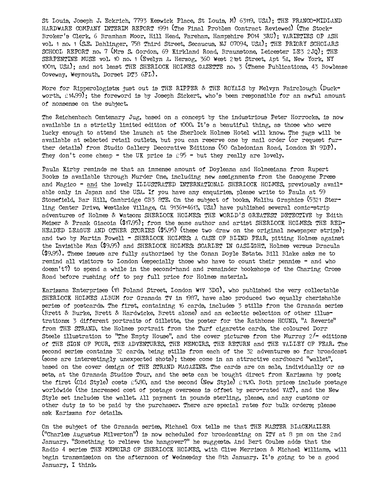St Louis, Joseph J. Eckrich, 7793 Keswick Place, St Louis, M) 63119, USA); THE FRANCO-MIDLAND HARDWARE COMPANY INTERIM REPORT 1991 (The Final Problem Contract Reviewed) (The Stock-Broker's Clerk, 6 Bramham Moor, Hill Head, Fareham, Hampshire P014 3RU) ; VARIETIES OP ASH vol. 1 no. 1 (S.E. Dahlinger, 758 Third Street, Secaucus, NJ 07094, USA) ; THE PRIORY SCHOLARS SCHOOL REPORT no. 7 (Mrs S. Gordon, 69 Kirkland Road, Braunstone, Leicester LE3 2JQ) ; THE SERPENTINE MUSE vol. 10 no. 1 (Evelyn A. Herzog, 360 West 21st Street, Apt 5A, New York, NY 10011, USA) ; and not least THE SHERLOCK HOLMES GAZETTE no. 3 (Theme Publications, 43 Bowleaze Coveway, Weymouth, Dorset DT3 6PL) .

More for Ripperologists: just out is THE RIPPER & THE ROYALS by Melvyn Fairclough (Duckworth, £14.99) ; the foreword is by Joseph Sickert, who's been responsible for an awful amount of nonsense on the subject.

The Reichenbach Centenary Jug, based on a concept by the industrious Peter Horrocks, is now available in a strictly limited edition of 1000. It's a beautiful thing, as those who were lucky enough to attend the launch at the Sherlock Holmes Hotel will know. The jugs will be available at selected retail outlets, but you can reserve one by mail order (or request further details) from Studio Gallery Decorative Editions (50 Caledonian Road, London N1 9DP) . They don't come cheap - the UK price is  $f95 -$  but they really are lovely.

Paula Kirby reminds me that an immense amount of Doyleana and Holmesiana from Rupert Books is available through Murder One, including new assignments from the Gasogene Press and Magico - and the lovely ILLUSTRATED INTERNATIONAL SHERLOCK HOLMES, previously available only in Japan and the USA. If you have any enquiries, please write to Paula at 59 Stonefield, Bar Hill, Cambridge CB3 8TE. On the subject of books, Malibu Graphics (5321 Sterling Center Drive, Westlake Village, CA 91361-4613, USA) have published several comic-strip adventures of Holmes & Watson: SHERLOCK HOLMES: THE WORLD'S GREATEST DETECTIVE by Edith Meiser & Prank Giacoia (\$17.95) ; from the same author and artist SHERLOCK HOLMES: THE RED-HEADED LEAGUE AND OTHER STORIES (\$5.95) (these two draw on the original newspaper strips); and two by Martin Powell - SHERLOCK HOLMES: A CASE OF BLIND PEAR, pitting Holmes against the Invisible Man (\$9.95) and SHERLOCK HOLMES: SCARLET IN GASLIGHT, Holmes versus Dracula (\$9.95) . These issues are fully authorised by the Conan Doyle Estate. Bill Blake asks me to remind all visitors to London (especially those who have to count their pennies - and who doesn't?) to spend a while in the second-hand and remainder bookshops of the Charing Cross Road before rushing off to pay full price for Holmes material.

Karizzma Enterprises (18 Poland Street, London W1V 3DG) , who published the very collectable SHERLOCK HOLMES ALBUM for Granada TV in 1987, have also produced two equally cherishable series of postcards. The first, containing 16 cards, includes 3 stills from the Granada series (Brett & Burke, Brett & Hardwicke, Brett alone) and an eclectic selection of other illustrations: 3 different portraits of Gillette, the poster for the Rathbone HOUND, "A Reverie" from THE STRAND, the Holmes portrait from the Turf cigarette cards, the coloured Dorr Steele illustration to "The Empty House", and the cover pictures from the Murray 2/- editions of THE SIGN OF FOUR, THE ADVENTURES, THE MEMOIRS, THE RETURN and THE VALLEY OF FEAR. The second series contains 32 cards, being stills from each of the 32 adventures so far broadcast (some are interestingly unexpected shots) ; these come in an attractive cardboard "wallet", based on the cover design of THE STRAND MAGAZINE. The cards are on sale, individually or as sets, at the Granada Studios Tour, and the sets can be bought direct from Karizzma by post; the first (Old Style) costs £5.80, and the second (New Style) £11.10. Both prices include postage worldwide (the increased cost of postage overseas is offset by zero-rated VAT) , and the New Style set includes the wallet. All payment in pounds sterling, please, and any customs or other duty is to be paid by the purchaser. There are special rates for bulk orders; please ask Karizzma for details.

On the subject of the Granada series, Michael Cox tells me that THE MASTER BLACKMAILER ("Charles Augustus Milverton") is now scheduled for broadcasting on ITV at 8 pm on the 2nd January. "Something to relieve the hangover?" he suggests. And Bert Coules adds that the Radio 4 series THE MEMOIRS OF SHERLOCK HOLMES, with Clive Merrison & Michael Williams, will begin transmission on the afternoon of Wednesday the 8th January. It's going to be a good January, I think.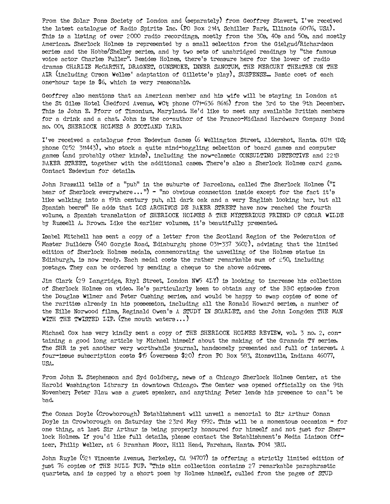From the Solar Pons Society of London and (separately) from Geoffrey Stavert, I've received the latest catalogue of Radio Spirits Inc. (PO Box 2141, Schiller Park, Illinois 60176, USA) . This is a listing of over 2000 radio recordings, mostly from the 30s, 40s and 50s, and mostly American. Sherlock Holmes is represented by a small selection from the Gielgud/Richardson series and the Hobbs/Shelley series, and by two sets of unabridged readings by "the famous voice actor Charles Fuller". Besides Holmes, there's treasure here for the lover of radio dramas CHARLIE McCARTHY, DRAGNET, GUNSMOKE, INNER SANCTUM, THE MERCURY THEATRE ON THE AIR (including Orson Welles' adaptation of Gillette's play) , SUSPENSE... Basic cost of each one-hour tape is \$6, which is very reasonable.

Geoffrey also mentions that an American member and his wife will be staying in London at the St Giles Hotel (Bedford Avenue, WC1; phone 071-636 8616) from the 3rd to the 9th December. This is John E. Pforr of Timonium, Maryland. He'd like to meet any available British members for a drink and a chat. John is the co-author of the Franco-Midland Hardware Company Bond no. 001, SHERLOCK HOLMES & SCOTLAND YARD.

I've received a catalogue from Esdevium Games (6 Wellington Street, Aldershot, Hants. GU11 1DZ; phone 0252 311443) , who stock a quite mind-boggling selection of board games and computer games (and probably other kinds) , including the now-classic CONSULTING DETECTIVE and 221B BAKER STREET, together with the additional cases. There's also a Sherlock Holmes card game. Contact Esdevium for details.

John Brazzill tells of a "pub" in the suburbs of Barcelona, called The Sherlock Holmes ("I hear of Sherlock everywhere...") - "no obvious connection inside except for the fact it's like walking into a 19th century pub, all dark oak and a very English looking bar, but all Spanish beers!" He adds that LOS ARCHIVOS DE BAKER STREET have now reached the fourth volume, a Spanish translation of SHERLOCK HOLMES & THE MYSTERIOUS FRIEND OF OSCAR WILDE by Russell A. Brown. Like the earlier volumes, it's beautifully presented.

Isabel Mitchell has sent a copy of a letter from the Scotland Region of the Federation of Master Builders (540 Gorgie Road, Edinburgh; phone 031-337 3602) , advising that the limited edition of Sherlock Holmes medals, commemorating the unveiling of the Holmes statue in Edinburgh, is now ready. Each medal costs the rather remarkable sum of  $£50$ , including postage. They can be ordered by sending a cheque to the above address.

Jim Clark (29 Langridge, Rhyl Street, London NW5 4LY) is looking to increase his collection of Sherlock Holmes on video. He's particularly keen to obtain any of the BBC episodes from the Douglas Wilmer and Peter Cushing series, and would be happy to swap copies of some of the rarities already in his possession, including all the Ronald Howard series, a number of the Eille Norwood films, Reginald Owen's A STUDY IN SCARLET, and the John Longden THE MAN WITH THE TWISTED LIP. (The mouth waters  $\ldots$ )

Michael Cox has very kindly sent a copy of THE SHERLOCK HOLMES REVIEW, vol. 3 no. 2, containing a good long article by Michael himself about the making of the Granada TV series. The SHR is yet another very worthwhile journal, handsomely presented and full of interest. A four-issue subscription costs \$15 (overseas \$20) from PO Box 583, Zionsville, Indiana 46077, USA.

From John E. Stephenson and Syd Goldberg, news of a Chicago Sherlock Holmes Center, at the Harold Washington Library in downtown Chicago. The Center was opened officially on the 9th November; Peter Blau was a guest speaker, and anything Peter lends his presence to can't be bad.

The Conan Doyle (Crowborough) Establishment will unveil a memorial to Sir Arthur Conan Doyle in Crowborough on Saturday the 23rd May 1992. This will be a momentous occasion - for one thing, at last Sir Arthur is being properly honoured for himself and not just for Sherlock Holmes. If you'd like full details, please contact the Establishment's Media Liaison Officer, Philip Weller, at 6 Bramham Moor, Hill Head, Fareham, Hants. P014 3RU.

John Ruyle (521 Vincente Avenue, Berkeley, CA 94707) is offering a strictly limited edition of just 76 copies of THE BULL PUP. "This slim collection contains 27 remarkable paraphrastic quartets, and is capped by a short poem by Holmes himself, culled from the pages of STUD